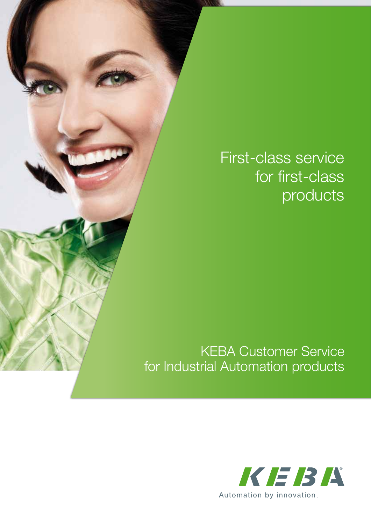## First-class service for first-class products

#### KEBA Customer Service for Industrial Automation products

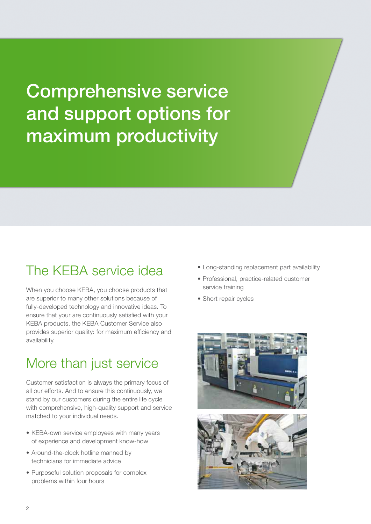Comprehensive service and support options for maximum productivity

#### The KEBA service idea

When you choose KEBA, you choose products that are superior to many other solutions because of fully-developed technology and innovative ideas. To ensure that your are continuously satisfied with your KEBA products, the KEBA Customer Service also provides superior quality: for maximum efficiency and availability.

### More than just service

Customer satisfaction is always the primary focus of all our efforts. And to ensure this continuously, we stand by our customers during the entire life cycle with comprehensive, high-quality support and service matched to your individual needs.

- KEBA-own service employees with many years of experience and development know-how
- Around-the-clock hotline manned by technicians for immediate advice
- Purposeful solution proposals for complex problems within four hours
- Long-standing replacement part availability
- Professional, practice-related customer service training
- Short repair cycles

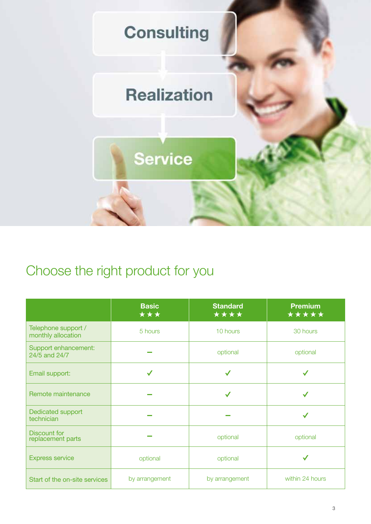

### Choose the right product for you

|                                           | <b>Basic</b><br>*** | <b>Standard</b><br>**** | <b>Premium</b><br>***** |  |  |
|-------------------------------------------|---------------------|-------------------------|-------------------------|--|--|
| Telephone support /<br>monthly allocation | 5 hours             | 10 hours                | 30 hours                |  |  |
| Support enhancement:<br>24/5 and 24/7     |                     | optional                | optional                |  |  |
| Email support:                            |                     |                         |                         |  |  |
| Remote maintenance                        |                     | $\checkmark$            |                         |  |  |
| Dedicated support<br>technician           |                     |                         |                         |  |  |
| <b>Discount for</b><br>replacement parts  |                     | optional                | optional                |  |  |
| <b>Express service</b>                    | optional            | optional                |                         |  |  |
| Start of the on-site services             | by arrangement      | by arrangement          | within 24 hours         |  |  |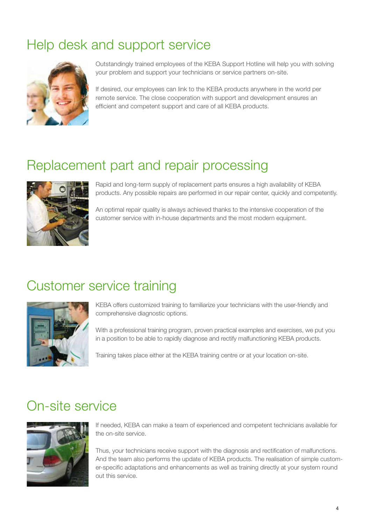### Help desk and support service



Outstandingly trained employees of the KEBA Support Hotline will help you with solving your problem and support your technicians or service partners on-site.

If desired, our employees can link to the KEBA products anywhere in the world per remote service. The close cooperation with support and development ensures an efficient and competent support and care of all KEBA products.

#### Replacement part and repair processing



Rapid and long-term supply of replacement parts ensures a high availability of KEBA products. Any possible repairs are performed in our repair center, quickly and competently.

An optimal repair quality is always achieved thanks to the intensive cooperation of the customer service with in-house departments and the most modern equipment.

#### Customer service training



KEBA offers customized training to familiarize your technicians with the user-friendly and comprehensive diagnostic options.

With a professional training program, proven practical examples and exercises, we put you in a position to be able to rapidly diagnose and rectify malfunctioning KEBA products.

Training takes place either at the KEBA training centre or at your location on-site.

#### On-site service



If needed, KEBA can make a team of experienced and competent technicians available for the on-site service.

Thus, your technicians receive support with the diagnosis and rectification of malfunctions. And the team also performs the update of KEBA products. The realisation of simple customer-specific adaptations and enhancements as well as training directly at your system round out this service.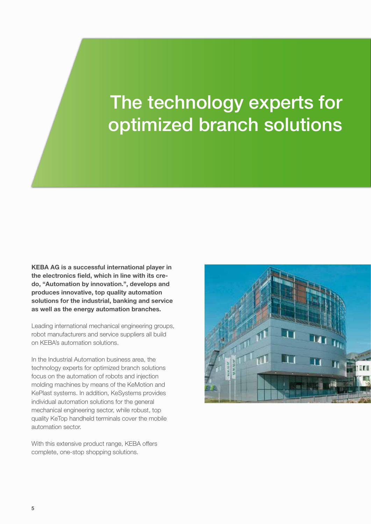# The technology experts for optimized branch solutions

**KEBA AG is a successful international player in the electronics field, which in line with its credo, "Automation by innovation.", develops and produces innovative, top quality automation solutions for the industrial, banking and service as well as the energy automation branches.**

Leading international mechanical engineering groups, robot manufacturers and service suppliers all build on KEBA's automation solutions.

In the Industrial Automation business area, the technology experts for optimized branch solutions focus on the automation of robots and injection molding machines by means of the KeMotion and KePlast systems. In addition, KeSystems provides individual automation solutions for the general mechanical engineering sector, while robust, top quality KeTop handheld terminals cover the mobile automation sector.

With this extensive product range, KEBA offers complete, one-stop shopping solutions.